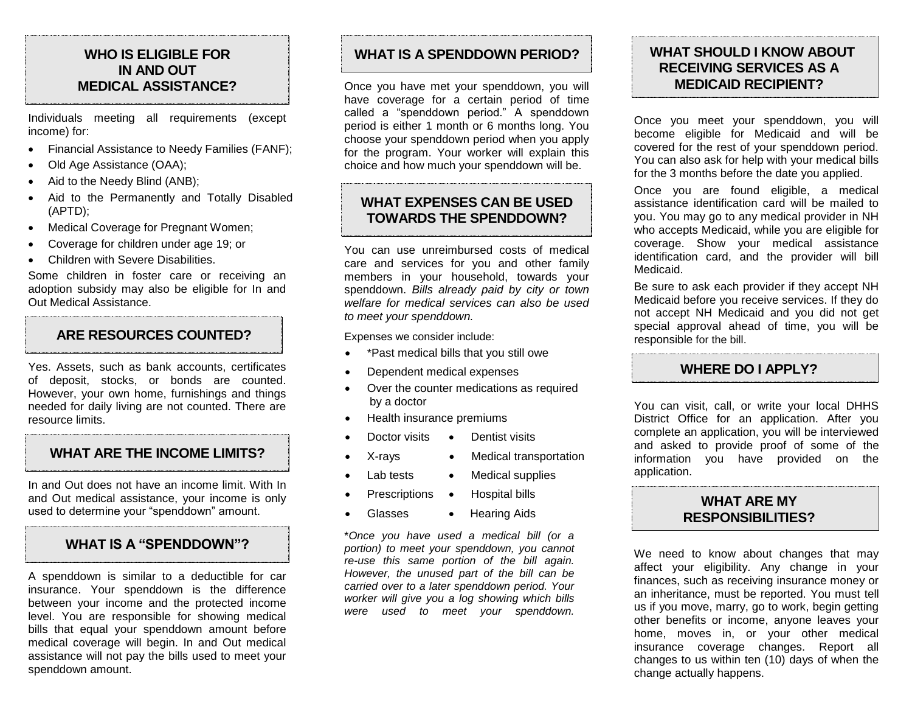# **WHO IS ELIGIBLE FOR IN AND OUT MEDICAL ASSISTANCE?**

Individuals meeting all requirements (except income) for:

- Financial Assistance to Needy Families (FANF);
- Old Age Assistance (OAA);
- Aid to the Needy Blind (ANB);
- Aid to the Permanently and Totally Disabled (APTD);
- Medical Coverage for Pregnant Women;
- Coverage for children under age 19; or
- Children with Severe Disabilities.

Some children in foster care or receiving an adoption subsidy may also be eligible for In and Out Medical Assistance.

# **ARE RESOURCES COUNTED?**

Yes. Assets, such as bank accounts, certificates of deposit, stocks, or bonds are counted. However, your own home, furnishings and things needed for daily living are not counted. There are resource limits.

# **WHAT ARE THE INCOME LIMITS?**

In and Out does not have an income limit. With In and Out medical assistance, your income is only used to determine your "spenddown" amount.

# **WHAT IS A "SPENDDOWN"?**

A spenddown is similar to a deductible for car insurance. Your spenddown is the difference between your income and the protected income level. You are responsible for showing medical bills that equal your spenddown amount before medical coverage will begin. In and Out medical assistance will not pay the bills used to meet your spenddown amount.

# **WHAT IS A SPENDDOWN PERIOD?**

Once you have met your spenddown, you will have coverage for a certain period of time called a "spenddown period." A spenddown period is either 1 month or 6 months long. You choose your spenddown period when you apply for the program. Your worker will explain this choice and how much your spenddown will be.

# **WHAT EXPENSES CAN BE USED TOWARDS THE SPENDDOWN?**

You can use unreimbursed costs of medical care and services for you and other family members in your household, towards your spenddown. *Bills already paid by city or town welfare for medical services can also be used to meet your spenddown.*

Expenses we consider include:

- \*Past medical bills that you still owe
- Dependent medical expenses
- Over the counter medications as required by a doctor
- Health insurance premiums
	- Doctor visits Dentist visits
- X-rays Medical transportation
- Lab tests Medical supplies
	- Prescriptions Hospital bills
- Glasses Hearing Aids

\**Once you have used a medical bill (or a portion) to meet your spenddown, you cannot re-use this same portion of the bill again. However, the unused part of the bill can be carried over to a later spenddown period. Your worker will give you a log showing which bills were used to meet your spenddown.* 

# **WHAT SHOULD I KNOW ABOUT RECEIVING SERVICES AS A MEDICAID RECIPIENT?**

Once you meet your spenddown, you will become eligible for Medicaid and will be covered for the rest of your spenddown period. You can also ask for help with your medical bills for the 3 months before the date you applied.

Once you are found eligible, a medical assistance identification card will be mailed to you. You may go to any medical provider in NH who accepts Medicaid, while you are eligible for coverage. Show your medical assistance identification card, and the provider will bill Medicaid.

Be sure to ask each provider if they accept NH Medicaid before you receive services. If they do not accept NH Medicaid and you did not get special approval ahead of time, you will be responsible for the bill.

# **WHERE DO I APPLY?**

You can visit, call, or write your local DHHS District Office for an application. After you complete an application, you will be interviewed and asked to provide proof of some of the information you have provided on the application.

### **WHAT ARE MY RESPONSIBILITIES?**

We need to know about changes that may affect your eligibility. Any change in your finances, such as receiving insurance money or an inheritance, must be reported. You must tell us if you move, marry, go to work, begin getting other benefits or income, anyone leaves your home, moves in, or your other medical insurance coverage changes. Report all changes to us within ten (10) days of when the change actually happens.